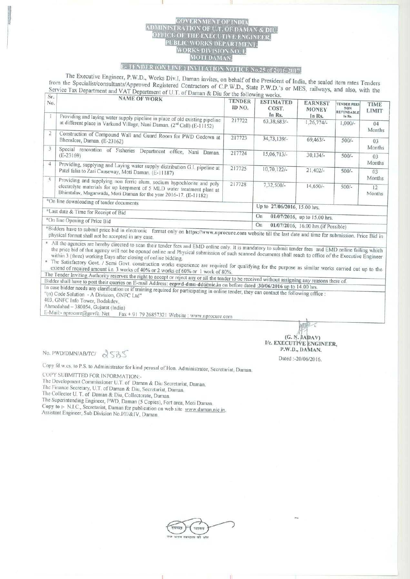## **SOVERNMENT OF ADMINISTRA** TION OF U.T. OF D OFFICE OF THE EXECUTIVE ENGINEER<br>PUBLIC WORKS DEPARTMENT,<br>WORKS DIVISION NO. I, **MOTI DAMAN**

## E-TENDER (ON LINE) INVITATION NOTICE No.25 of 2016-2017.

The Executive Engineer, P.W.D., Works Div.I, Daman invites, on behalf of the President of India, the sealed item rates Tenders from the Specialist/consultants/Approved Registered Contractors of C.P.W.D., State P.W.D.'s or MES, railways, and also, with the Service Tax Department and VAT Department of U.T. of Daman & Diu for the following works.  $\sqrt{S_T}$ 

| 21.1                                                                                                              |                                                                                                                                                  |                         |                                            |                                          |                                                                 |                             |  |
|-------------------------------------------------------------------------------------------------------------------|--------------------------------------------------------------------------------------------------------------------------------------------------|-------------------------|--------------------------------------------|------------------------------------------|-----------------------------------------------------------------|-----------------------------|--|
| No.                                                                                                               | NAME OF WORK<br>Providing and laying water supply pipeline in place of old existing pipeline                                                     | <b>TENDER</b><br>ID NO. | <b>ESTIMATED</b><br>COST.<br>In Rs.        | <b>EARNEST</b><br><b>MONEY</b><br>In Rs. | <b>TENDER FEES</b><br><b>NON</b><br><b>REFUNDABLE</b><br>In Rs. | <b>TIME</b><br><b>LIMIT</b> |  |
|                                                                                                                   | at different place in Varkund Village, Nani Daman. (2nd Call) (E-11152)                                                                          | 217722                  | $63,38,683/$ -                             | $1,26,774/-$                             | $1,000/-$                                                       | 04<br>Months                |  |
| $\overline{2}$                                                                                                    | Construction of Compound Wall and Guard Room for PWD Godown at<br>Bhenslore, Daman. (E-23162)                                                    | 217723                  | 34, 73, 139/-                              | 69,463/                                  | $500/-$                                                         | 03                          |  |
|                                                                                                                   | Special renovation of Fisheries Department office,<br>Nani<br>Daman.<br>$(E-23169)$                                                              | 217724                  | $15,06,713/-$                              | $30,134/-$                               | $500/-$                                                         | Months<br>03                |  |
| 4                                                                                                                 | Providing, supplying and Laying water supply distribution G.I. pipeline at<br>Patel falia to Zari Causeway, Moti Daman. (E-11187)                | 217725                  | 10,70,122/-                                | $21.402/-$                               | $500/-$                                                         | Months<br>03                |  |
| 5                                                                                                                 | Providing and supplying non ferric alum, sodium hypochlorite and poly<br>electrolyte materials for up keepment of 5 MLD water treatment plant at | 217728                  | $7.32.500/-$                               | $14,650/-$                               | $500/-$                                                         | Months<br>12<br>Months      |  |
|                                                                                                                   | Bhimtalav, Magarwada, Moti Daman for the year 2016-17. (E-11182)<br>*On line downloading of tender documents                                     |                         | Up to 27/06/2016, 15.00 hrs.               |                                          |                                                                 |                             |  |
| *Last date & Time for Receipt of Bid                                                                              |                                                                                                                                                  |                         | On<br>01/07/2016, up to 15.00 hrs.         |                                          |                                                                 |                             |  |
| *On line Opening of Price Bid<br>*Bidders have to submit price bid in electronic format only on https://www.armor |                                                                                                                                                  |                         | On<br>01/07/2016, 16.00 hrs. (if Possible) |                                          |                                                                 |                             |  |

t only on https://www.nprocure.com website till the last date and time for submission. Price Bid in physical format shall not be accepted in any case.

\* All the agencies are hereby directed to scan their tender fees and EMD online only. It is mandatory to submit tender fees and EMD online failing which the price bid of that agency will not be opened online and Physical submission of such scanned documents shall reach to office of the Executive Engineer within 3 (three) working Days after closing of online bidding.

The Satisfactory Govt. / Semi Govt. construction works experience are required for qualifying for the purpose as similar works carried out up to the extend of required amount i.e. 3 works of 40% or 2 works of 60% or 1 work of 80%.

The Tender Inviting Authority reserves the right to accept or reject any or ail the tender to be received without assigning any reasons there of. Bidder shall have to post their queries on E-mail Address: eepwd-dmn-dd@nic.in on before dated :30/06/2016 up to 14.00 hrs.

In case bidder needs any clarification or if training required for participating in online tender, they can contact the following office

"(n) Code Solution - A Division, GNFC Ltd" 403, GNFC Info Tower, Bodakdev.

Ahmedabad - 380054, Gujarat (India)

E-Mail:- nprocure@gnvfc. Net

Fax + 91 79 26857321 Website: www.nprocure.com

 $(G, N, JADAV)$ I/c. EXECUTIVE ENGINEER, P.W.D., DAMAN.

No. PWD/DMN/AB/TC/ 2535

Copy fd.w.cs. to P.S. to Administrator for kind perusal of Hon. Administrator, Secretariat, Daman.

COPY SUBMITTED FOR INFORMATION:-

The Development Commissioner U.T. of Daman & Diu Secretariat, Daman.

The Finance Secretary, U.T. of Daman & Diu, Secretariat, Daman.

The Collector U. T. of Daman & Diu, Collectorate, Daman.

The Superintending Engineer, PWD, Daman (5 Copies), Fort area, Moti Daman.

Copy to :- N.I.C., Secretariat, Daman for publication on web site www.daman.nic.in. Assistant Engineer, Sub Division No.I/II/&IV, Daman.

Dated: - 20/06/2016.